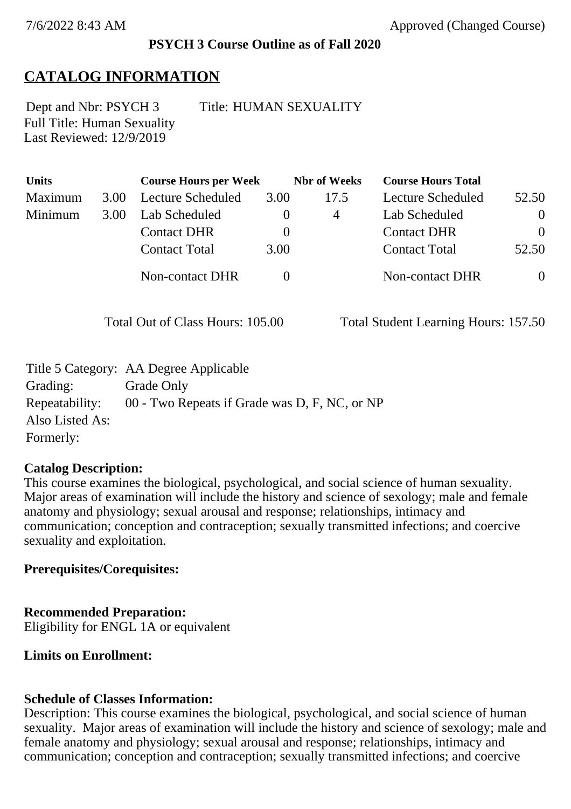### **PSYCH 3 Course Outline as of Fall 2020**

# **CATALOG INFORMATION**

Full Title: Human Sexuality Last Reviewed: 12/9/2019 Dept and Nbr: PSYCH 3 Title: HUMAN SEXUALITY

| <b>Units</b> |      | <b>Course Hours per Week</b> |          | <b>Nbr</b> of Weeks | <b>Course Hours Total</b> |                |
|--------------|------|------------------------------|----------|---------------------|---------------------------|----------------|
| Maximum      | 3.00 | Lecture Scheduled            | 3.00     | 17.5                | Lecture Scheduled         | 52.50          |
| Minimum      | 3.00 | Lab Scheduled                | $\bf{0}$ | 4                   | Lab Scheduled             | $\theta$       |
|              |      | <b>Contact DHR</b>           | $\theta$ |                     | <b>Contact DHR</b>        | $\Omega$       |
|              |      | <b>Contact Total</b>         | 3.00     |                     | <b>Contact Total</b>      | 52.50          |
|              |      | Non-contact DHR              |          |                     | <b>Non-contact DHR</b>    | $\overline{0}$ |

Total Out of Class Hours: 105.00 Total Student Learning Hours: 157.50

|                 | Title 5 Category: AA Degree Applicable        |
|-----------------|-----------------------------------------------|
| Grading:        | Grade Only                                    |
| Repeatability:  | 00 - Two Repeats if Grade was D, F, NC, or NP |
| Also Listed As: |                                               |
| Formerly:       |                                               |

### **Catalog Description:**

This course examines the biological, psychological, and social science of human sexuality. Major areas of examination will include the history and science of sexology; male and female anatomy and physiology; sexual arousal and response; relationships, intimacy and communication; conception and contraception; sexually transmitted infections; and coercive sexuality and exploitation.

**Prerequisites/Corequisites:**

### **Recommended Preparation:**

Eligibility for ENGL 1A or equivalent

# **Limits on Enrollment:**

# **Schedule of Classes Information:**

Description: This course examines the biological, psychological, and social science of human sexuality. Major areas of examination will include the history and science of sexology; male and female anatomy and physiology; sexual arousal and response; relationships, intimacy and communication; conception and contraception; sexually transmitted infections; and coercive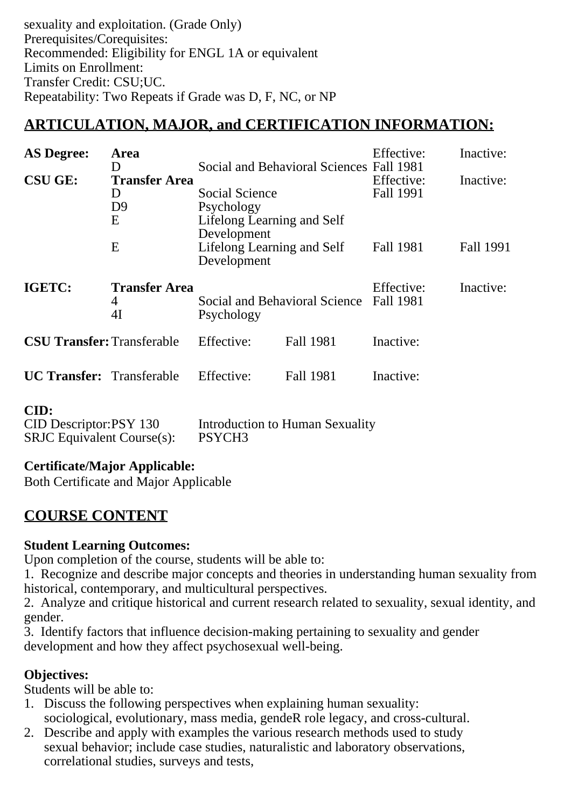sexuality and exploitation. (Grade Only) Prerequisites/Corequisites: Recommended: Eligibility for ENGL 1A or equivalent Limits on Enrollment: Transfer Credit: CSU;UC. Repeatability: Two Repeats if Grade was D, F, NC, or NP

# **ARTICULATION, MAJOR, and CERTIFICATION INFORMATION:**

| <b>AS Degree:</b>                 | Area<br>D                                        |                                                                           | Social and Behavioral Sciences Fall 1981 | Effective:                     | Inactive: |
|-----------------------------------|--------------------------------------------------|---------------------------------------------------------------------------|------------------------------------------|--------------------------------|-----------|
| <b>CSU GE:</b>                    | <b>Transfer Area</b><br>D<br>D <sub>9</sub><br>E | Social Science<br>Psychology<br>Lifelong Learning and Self<br>Development |                                          | Effective:<br>Fall 1991        | Inactive: |
|                                   | E                                                | Lifelong Learning and Self<br>Development                                 |                                          | Fall 1981                      | Fall 1991 |
| IGETC:                            | <b>Transfer Area</b><br>4<br>4I                  | Psychology                                                                | Social and Behavioral Science            | Effective:<br><b>Fall 1981</b> | Inactive: |
| <b>CSU Transfer: Transferable</b> |                                                  | Effective:                                                                | Fall 1981                                | Inactive:                      |           |
| <b>UC Transfer:</b> Transferable  |                                                  | Effective:                                                                | Fall 1981                                | Inactive:                      |           |

#### **CID:**

| CID Descriptor:PSY 130            | Introduction to Human Sexuality |
|-----------------------------------|---------------------------------|
| <b>SRJC</b> Equivalent Course(s): | PSYCH <sub>3</sub>              |

### **Certificate/Major Applicable:**

[Both Certificate and Major Applicable](SR_ClassCheck.aspx?CourseKey=PSYCH3)

# **COURSE CONTENT**

### **Student Learning Outcomes:**

Upon completion of the course, students will be able to:

1. Recognize and describe major concepts and theories in understanding human sexuality from historical, contemporary, and multicultural perspectives.

2. Analyze and critique historical and current research related to sexuality, sexual identity, and gender.

3. Identify factors that influence decision-making pertaining to sexuality and gender development and how they affect psychosexual well-being.

### **Objectives:**

Students will be able to:

- 1. Discuss the following perspectives when explaining human sexuality: sociological, evolutionary, mass media, gendeR role legacy, and cross-cultural.
- 2. Describe and apply with examples the various research methods used to study sexual behavior; include case studies, naturalistic and laboratory observations, correlational studies, surveys and tests,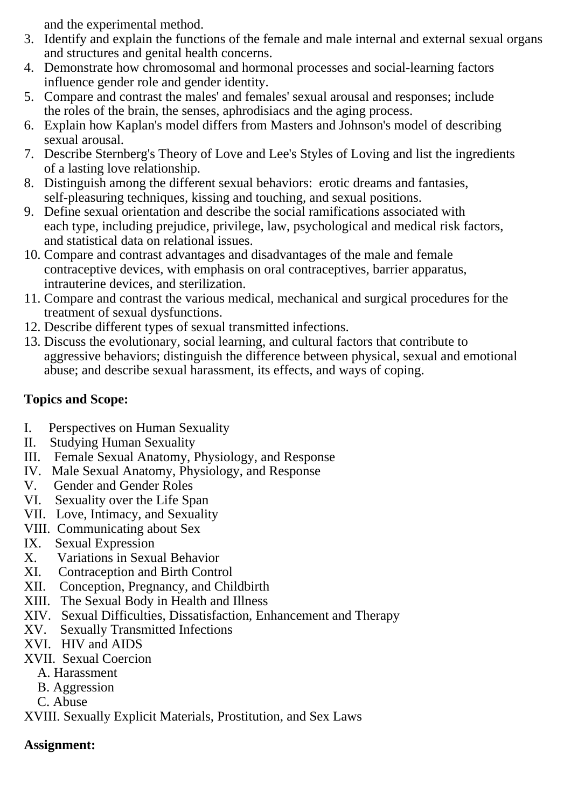and the experimental method.

- 3. Identify and explain the functions of the female and male internal and external sexual organs and structures and genital health concerns.
- 4. Demonstrate how chromosomal and hormonal processes and social-learning factors influence gender role and gender identity.
- 5. Compare and contrast the males' and females' sexual arousal and responses; include the roles of the brain, the senses, aphrodisiacs and the aging process.
- 6. Explain how Kaplan's model differs from Masters and Johnson's model of describing sexual arousal.
- 7. Describe Sternberg's Theory of Love and Lee's Styles of Loving and list the ingredients of a lasting love relationship.
- 8. Distinguish among the different sexual behaviors: erotic dreams and fantasies, self-pleasuring techniques, kissing and touching, and sexual positions.
- 9. Define sexual orientation and describe the social ramifications associated with each type, including prejudice, privilege, law, psychological and medical risk factors, and statistical data on relational issues.
- 10. Compare and contrast advantages and disadvantages of the male and female contraceptive devices, with emphasis on oral contraceptives, barrier apparatus, intrauterine devices, and sterilization.
- 11. Compare and contrast the various medical, mechanical and surgical procedures for the treatment of sexual dysfunctions.
- 12. Describe different types of sexual transmitted infections.
- 13. Discuss the evolutionary, social learning, and cultural factors that contribute to aggressive behaviors; distinguish the difference between physical, sexual and emotional abuse; and describe sexual harassment, its effects, and ways of coping.

## **Topics and Scope:**

- I. Perspectives on Human Sexuality<br>II. Studving Human Sexuality
- **Studying Human Sexuality**
- III. Female Sexual Anatomy, Physiology, and Response
- IV. Male Sexual Anatomy, Physiology, and Response
- V. Gender and Gender Roles
- VI. Sexuality over the Life Span
- VII. Love, Intimacy, and Sexuality
- VIII. Communicating about Sex
- IX. Sexual Expression
- X. Variations in Sexual Behavior
- XI. Contraception and Birth Control
- XII. Conception, Pregnancy, and Childbirth
- XIII. The Sexual Body in Health and Illness
- XIV. Sexual Difficulties, Dissatisfaction, Enhancement and Therapy
- XV. Sexually Transmitted Infections
- XVI. HIV and AIDS
- XVII. Sexual Coercion
	- A. Harassment
	- B. Aggression
	- C. Abuse

XVIII. Sexually Explicit Materials, Prostitution, and Sex Laws

### **Assignment:**